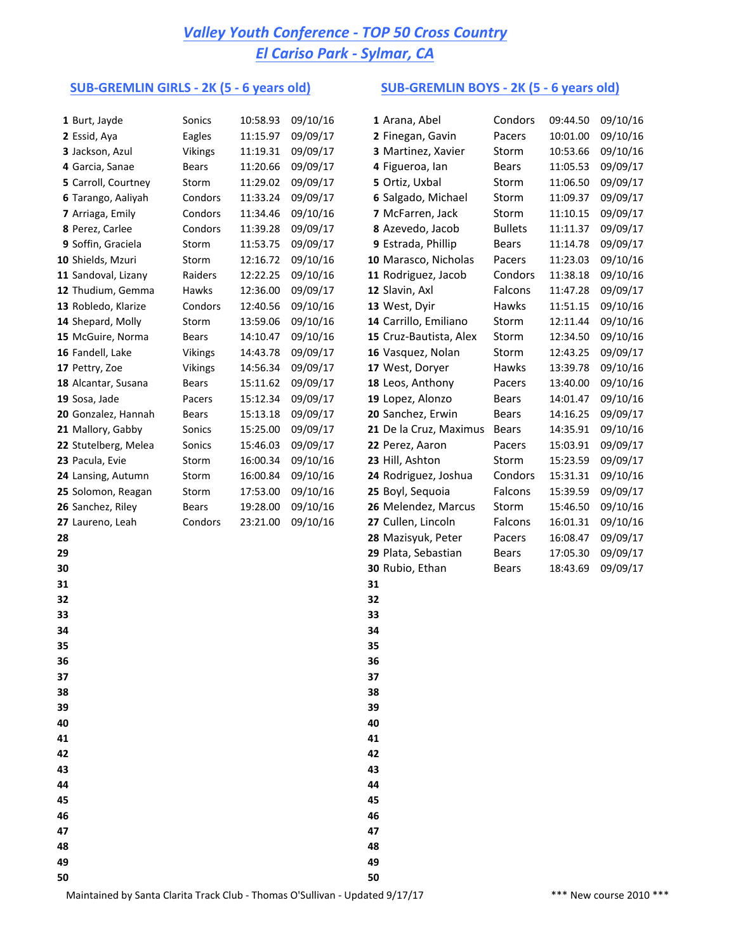## *Valley Youth Conference - TOP 50 Cross Country El Cariso Park - Sylmar, CA*

### **SUB-GREMLIN GIRLS - 2K (5 - 6 years old) SUB-GREMLIN BOYS - 2K (5 - 6 years old)**

| 1 Burt, Jayde        | Sonics         | 10:58.93 | 09/10/16 | 1 Arana, Abel          | Condors        | 09:44.50 | 09/10/16 |
|----------------------|----------------|----------|----------|------------------------|----------------|----------|----------|
| 2 Essid, Aya         | Eagles         | 11:15.97 | 09/09/17 | 2 Finegan, Gavin       | Pacers         | 10:01.00 | 09/10/16 |
| 3 Jackson, Azul      | <b>Vikings</b> | 11:19.31 | 09/09/17 | 3 Martinez, Xavier     | Storm          | 10:53.66 | 09/10/16 |
| 4 Garcia, Sanae      | <b>Bears</b>   | 11:20.66 | 09/09/17 | 4 Figueroa, Ian        | Bears          | 11:05.53 | 09/09/17 |
| 5 Carroll, Courtney  | Storm          | 11:29.02 | 09/09/17 | 5 Ortiz, Uxbal         | Storm          | 11:06.50 | 09/09/17 |
| 6 Tarango, Aaliyah   | Condors        | 11:33.24 | 09/09/17 | 6 Salgado, Michael     | Storm          | 11:09.37 | 09/09/17 |
| 7 Arriaga, Emily     | Condors        | 11:34.46 | 09/10/16 | 7 McFarren, Jack       | Storm          | 11:10.15 | 09/09/17 |
| 8 Perez, Carlee      | Condors        | 11:39.28 | 09/09/17 | 8 Azevedo, Jacob       | <b>Bullets</b> | 11:11.37 | 09/09/17 |
| 9 Soffin, Graciela   | Storm          | 11:53.75 | 09/09/17 | 9 Estrada, Phillip     | Bears          | 11:14.78 | 09/09/17 |
| 10 Shields, Mzuri    | Storm          | 12:16.72 | 09/10/16 | 10 Marasco, Nicholas   | Pacers         | 11:23.03 | 09/10/16 |
| 11 Sandoval, Lizany  | Raiders        | 12:22.25 | 09/10/16 | 11 Rodriguez, Jacob    | Condors        | 11:38.18 | 09/10/16 |
| 12 Thudium, Gemma    | Hawks          | 12:36.00 | 09/09/17 | 12 Slavin, Axl         | Falcons        | 11:47.28 | 09/09/17 |
| 13 Robledo, Klarize  | Condors        | 12:40.56 | 09/10/16 | 13 West, Dyir          | Hawks          | 11:51.15 | 09/10/16 |
| 14 Shepard, Molly    | Storm          | 13:59.06 | 09/10/16 | 14 Carrillo, Emiliano  | Storm          | 12:11.44 | 09/10/16 |
| 15 McGuire, Norma    | <b>Bears</b>   | 14:10.47 | 09/10/16 | 15 Cruz-Bautista, Alex | Storm          | 12:34.50 | 09/10/16 |
| 16 Fandell, Lake     | Vikings        | 14:43.78 | 09/09/17 | 16 Vasquez, Nolan      | Storm          | 12:43.25 | 09/09/17 |
| 17 Pettry, Zoe       | Vikings        | 14:56.34 | 09/09/17 | 17 West, Doryer        | Hawks          | 13:39.78 | 09/10/16 |
| 18 Alcantar, Susana  | <b>Bears</b>   | 15:11.62 | 09/09/17 | 18 Leos, Anthony       | Pacers         | 13:40.00 | 09/10/16 |
| 19 Sosa, Jade        | Pacers         | 15:12.34 | 09/09/17 | 19 Lopez, Alonzo       | Bears          | 14:01.47 | 09/10/16 |
| 20 Gonzalez, Hannah  | Bears          | 15:13.18 | 09/09/17 | 20 Sanchez, Erwin      | Bears          | 14:16.25 | 09/09/17 |
| 21 Mallory, Gabby    | Sonics         | 15:25.00 | 09/09/17 | 21 De la Cruz, Maximus | Bears          | 14:35.91 | 09/10/16 |
| 22 Stutelberg, Melea | Sonics         | 15:46.03 | 09/09/17 | 22 Perez, Aaron        | Pacers         | 15:03.91 | 09/09/17 |
| 23 Pacula, Evie      | Storm          | 16:00.34 | 09/10/16 | 23 Hill, Ashton        | Storm          | 15:23.59 | 09/09/17 |
| 24 Lansing, Autumn   | Storm          | 16:00.84 | 09/10/16 | 24 Rodriguez, Joshua   | Condors        | 15:31.31 | 09/10/16 |
| 25 Solomon, Reagan   | Storm          | 17:53.00 | 09/10/16 | 25 Boyl, Sequoia       | Falcons        | 15:39.59 | 09/09/17 |
| 26 Sanchez, Riley    | <b>Bears</b>   | 19:28.00 | 09/10/16 | 26 Melendez, Marcus    | Storm          | 15:46.50 | 09/10/16 |
| 27 Laureno, Leah     | Condors        | 23:21.00 | 09/10/16 | 27 Cullen, Lincoln     | Falcons        | 16:01.31 | 09/10/16 |
| 28                   |                |          |          | 28 Mazisyuk, Peter     | Pacers         | 16:08.47 | 09/09/17 |
| 29                   |                |          |          | 29 Plata, Sebastian    | Bears          | 17:05.30 | 09/09/17 |
| 30                   |                |          |          | 30 Rubio, Ethan        | Bears          | 18:43.69 | 09/09/17 |
| 31                   |                |          |          | 31                     |                |          |          |
| 32                   |                |          |          | 32                     |                |          |          |
| 33                   |                |          |          | 33                     |                |          |          |
| 34                   |                |          |          | 34                     |                |          |          |
| 35                   |                |          |          | 35                     |                |          |          |
| 36                   |                |          |          | 36                     |                |          |          |
| 37                   |                |          |          | 37                     |                |          |          |
| 38                   |                |          |          | 38                     |                |          |          |
| 39                   |                |          |          | 39                     |                |          |          |
| 40                   |                |          |          | 40                     |                |          |          |
| 41                   |                |          |          | 41                     |                |          |          |
| 42                   |                |          |          | 42                     |                |          |          |
| 43                   |                |          |          | 43                     |                |          |          |
| 44                   |                |          |          | 44                     |                |          |          |
| 45                   |                |          |          | 45                     |                |          |          |
| 46                   |                |          |          | 46                     |                |          |          |
| 47                   |                |          |          | 47                     |                |          |          |
| 48                   |                |          |          | 48                     |                |          |          |
| 49                   |                |          |          | 49                     |                |          |          |
| 50                   |                |          |          | 50                     |                |          |          |

|    | 1 Arana, Abel          | Condors        | 09:44.50 | 09/10/16 |
|----|------------------------|----------------|----------|----------|
|    | 2 Finegan, Gavin       | Pacers         | 10:01.00 | 09/10/16 |
|    | 3 Martinez, Xavier     | Storm          | 10:53.66 | 09/10/16 |
|    | 4 Figueroa, lan        | Bears          | 11:05.53 | 09/09/17 |
|    | 5 Ortiz, Uxbal         | Storm          | 11:06.50 | 09/09/17 |
|    | 6 Salgado, Michael     | Storm          | 11:09.37 | 09/09/17 |
|    | 7 McFarren, Jack       | Storm          | 11:10.15 | 09/09/17 |
|    | 8 Azevedo, Jacob       | <b>Bullets</b> | 11:11.37 | 09/09/17 |
|    | 9 Estrada, Phillip     | Bears          | 11:14.78 | 09/09/17 |
|    | 10 Marasco, Nicholas   | Pacers         | 11:23.03 | 09/10/16 |
|    | 11 Rodriguez, Jacob    | Condors        | 11:38.18 | 09/10/16 |
|    | 12 Slavin, Axl         | Falcons        | 11:47.28 | 09/09/17 |
|    | 13 West, Dyir          | Hawks          | 11:51.15 | 09/10/16 |
|    | 14 Carrillo, Emiliano  | Storm          | 12:11.44 | 09/10/16 |
|    | 15 Cruz-Bautista, Alex | Storm          | 12:34.50 | 09/10/16 |
|    | 16 Vasquez, Nolan      | Storm          | 12:43.25 | 09/09/17 |
|    | 17 West, Doryer        | <b>Hawks</b>   | 13:39.78 | 09/10/16 |
|    | 18 Leos, Anthony       | Pacers         | 13:40.00 | 09/10/16 |
|    | 19 Lopez, Alonzo       | Bears          | 14:01.47 | 09/10/16 |
|    | 20 Sanchez, Erwin      | Bears          | 14:16.25 | 09/09/17 |
|    | 21 De la Cruz, Maximus | Bears          | 14:35.91 | 09/10/16 |
|    | 22 Perez, Aaron        | Pacers         | 15:03.91 | 09/09/17 |
|    | 23 Hill, Ashton        | Storm          | 15:23.59 | 09/09/17 |
|    | 24 Rodriguez, Joshua   | Condors        | 15:31.31 | 09/10/16 |
|    | 25 Boyl, Sequoia       | Falcons        | 15:39.59 | 09/09/17 |
|    |                        | Storm          |          |          |
|    | 26 Melendez, Marcus    |                | 15:46.50 | 09/10/16 |
|    | 27 Cullen, Lincoln     | Falcons        | 16:01.31 | 09/10/16 |
|    | 28 Mazisyuk, Peter     | Pacers         | 16:08.47 | 09/09/17 |
|    | 29 Plata, Sebastian    | Bears          | 17:05.30 | 09/09/17 |
|    | 30 Rubio, Ethan        | Bears          | 18:43.69 | 09/09/17 |
| 31 |                        |                |          |          |
| 32 |                        |                |          |          |
| 33 |                        |                |          |          |
| 34 |                        |                |          |          |
| 35 |                        |                |          |          |
| 36 |                        |                |          |          |
| 37 |                        |                |          |          |
| 38 |                        |                |          |          |
| 39 |                        |                |          |          |
| 40 |                        |                |          |          |
| 41 |                        |                |          |          |
| 42 |                        |                |          |          |
| 43 |                        |                |          |          |
| 44 |                        |                |          |          |
| 45 |                        |                |          |          |
| 46 |                        |                |          |          |
| 47 |                        |                |          |          |
| 48 |                        |                |          |          |

Maintained by Santa Clarita Track Club - Thomas O'Sullivan - Updated 9/17/17 \*\*\* \*\*\* New course 2010 \*\*\*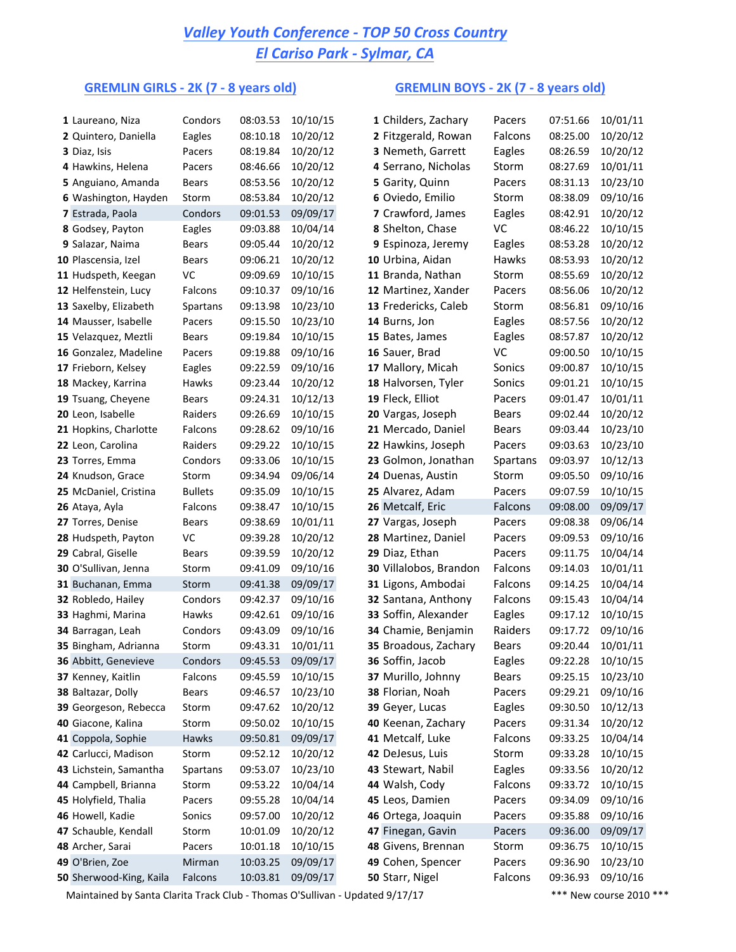## *Valley Youth Conference - TOP 50 Cross Country El Cariso Park - Sylmar, CA*

## GREMLIN GIRLS - 2K (7 - 8 years old) GREMLIN BOYS - 2K (7 - 8 years old)

| 1 Laureano, Niza                             | Condors          | 08:03.53             | 10/10/15             | 1 Childers, Zachary                         | Pacers          | 07:51.66             | 10/01/11             |
|----------------------------------------------|------------------|----------------------|----------------------|---------------------------------------------|-----------------|----------------------|----------------------|
| 2 Quintero, Daniella                         | Eagles           | 08:10.18             | 10/20/12             | 2 Fitzgerald, Rowan                         | Falcons         | 08:25.00             | 10/20/12             |
| 3 Diaz, Isis                                 | Pacers           | 08:19.84             | 10/20/12             | 3 Nemeth, Garrett                           | Eagles          | 08:26.59             | 10/20/12             |
| 4 Hawkins, Helena                            | Pacers           | 08:46.66             | 10/20/12             | 4 Serrano, Nicholas                         | Storm           | 08:27.69             | 10/01/11             |
| 5 Anguiano, Amanda                           | <b>Bears</b>     | 08:53.56             | 10/20/12             | 5 Garity, Quinn                             | Pacers          | 08:31.13             | 10/23/10             |
| 6 Washington, Hayden                         | Storm            | 08:53.84             | 10/20/12             | 6 Oviedo, Emilio                            | Storm           | 08:38.09             | 09/10/16             |
| 7 Estrada, Paola                             | Condors          | 09:01.53             | 09/09/17             | 7 Crawford, James                           | Eagles          | 08:42.91             | 10/20/12             |
| 8 Godsey, Payton                             | Eagles           | 09:03.88             | 10/04/14             | 8 Shelton, Chase                            | VC              | 08:46.22             | 10/10/15             |
| 9 Salazar, Naima                             | Bears            | 09:05.44             | 10/20/12             | 9 Espinoza, Jeremy                          | Eagles          | 08:53.28             | 10/20/12             |
| 10 Plascensia, Izel                          | Bears            | 09:06.21             | 10/20/12             | 10 Urbina, Aidan                            | Hawks           | 08:53.93             | 10/20/12             |
| 11 Hudspeth, Keegan                          | VC               | 09:09.69             | 10/10/15             | 11 Branda, Nathan                           | Storm           | 08:55.69             | 10/20/12             |
| 12 Helfenstein, Lucy                         | Falcons          | 09:10.37             | 09/10/16             | 12 Martinez, Xander                         | Pacers          | 08:56.06             | 10/20/12             |
| 13 Saxelby, Elizabeth                        | Spartans         | 09:13.98             | 10/23/10             | 13 Fredericks, Caleb                        | Storm           | 08:56.81             | 09/10/16             |
| 14 Mausser, Isabelle                         | Pacers           | 09:15.50             | 10/23/10             | 14 Burns, Jon                               | Eagles          | 08:57.56             | 10/20/12             |
| 15 Velazquez, Meztli                         | Bears            | 09:19.84             | 10/10/15             | 15 Bates, James                             | Eagles          | 08:57.87             | 10/20/12             |
| 16 Gonzalez, Madeline                        | Pacers           | 09:19.88             | 09/10/16             | 16 Sauer, Brad                              | VC              | 09:00.50             | 10/10/15             |
| 17 Frieborn, Kelsey                          | Eagles           | 09:22.59             | 09/10/16             | 17 Mallory, Micah                           | Sonics          | 09:00.87             | 10/10/15             |
| 18 Mackey, Karrina                           | Hawks            | 09:23.44             | 10/20/12             | 18 Halvorsen, Tyler                         | Sonics          | 09:01.21             | 10/10/15             |
| 19 Tsuang, Cheyene                           | <b>Bears</b>     | 09:24.31             | 10/12/13             | 19 Fleck, Elliot                            | Pacers          | 09:01.47             | 10/01/11             |
| 20 Leon, Isabelle                            | Raiders          | 09:26.69             | 10/10/15             | 20 Vargas, Joseph                           | Bears           | 09:02.44             | 10/20/12             |
| 21 Hopkins, Charlotte                        | Falcons          | 09:28.62             | 09/10/16             | 21 Mercado, Daniel                          | <b>Bears</b>    | 09:03.44             | 10/23/10             |
| 22 Leon, Carolina                            | Raiders          | 09:29.22             | 10/10/15             | 22 Hawkins, Joseph                          | Pacers          | 09:03.63             | 10/23/10             |
| 23 Torres, Emma                              | Condors          | 09:33.06             | 10/10/15             | 23 Golmon, Jonathan                         | Spartans        | 09:03.97             | 10/12/13             |
| 24 Knudson, Grace                            | Storm            | 09:34.94             | 09/06/14             | 24 Duenas, Austin                           | Storm           | 09:05.50             | 09/10/16             |
| 25 McDaniel, Cristina                        | <b>Bullets</b>   | 09:35.09             | 10/10/15             | 25 Alvarez, Adam                            | Pacers          | 09:07.59             | 10/10/15             |
| 26 Ataya, Ayla                               | Falcons          | 09:38.47             | 10/10/15             | 26 Metcalf, Eric                            | Falcons         | 09:08.00             | 09/09/17             |
| 27 Torres, Denise                            | <b>Bears</b>     | 09:38.69             | 10/01/11             | 27 Vargas, Joseph                           | Pacers          | 09:08.38             | 09/06/14             |
| 28 Hudspeth, Payton                          | VC               | 09:39.28             | 10/20/12             | 28 Martinez, Daniel                         | Pacers          | 09:09.53             | 09/10/16             |
| 29 Cabral, Giselle                           | <b>Bears</b>     | 09:39.59             | 10/20/12             | 29 Diaz, Ethan                              | Pacers          | 09:11.75             | 10/04/14             |
| 30 O'Sullivan, Jenna                         | Storm            | 09:41.09             | 09/10/16             | 30 Villalobos, Brandon                      | Falcons         | 09:14.03             | 10/01/11             |
| 31 Buchanan, Emma                            | Storm            | 09:41.38             | 09/09/17             | 31 Ligons, Ambodai                          | Falcons         | 09:14.25             | 10/04/14             |
| 32 Robledo, Hailey                           | Condors          | 09:42.37             | 09/10/16             | 32 Santana, Anthony                         | Falcons         | 09:15.43             | 10/04/14             |
| 33 Haghmi, Marina                            | Hawks            | 09:42.61             | 09/10/16             | 33 Soffin, Alexander                        | Eagles          | 09:17.12             | 10/10/15             |
| 34 Barragan, Leah                            | Condors<br>Storm | 09:43.09<br>09:43.31 | 09/10/16<br>10/01/11 | 34 Chamie, Benjamin<br>35 Broadous, Zachary | Raiders         | 09:17.72<br>09:20.44 | 09/10/16<br>10/01/11 |
| 35 Bingham, Adrianna<br>36 Abbitt, Genevieve | Condors          | 09:45.53             | 09/09/17             | 36 Soffin, Jacob                            | Bears<br>Eagles | 09:22.28             | 10/10/15             |
| 37 Kenney, Kaitlin                           | Falcons          | 09:45.59             | 10/10/15             | 37 Murillo, Johnny                          | Bears           | 09:25.15             | 10/23/10             |
| 38 Baltazar, Dolly                           | Bears            | 09:46.57             | 10/23/10             | 38 Florian, Noah                            | Pacers          | 09:29.21             | 09/10/16             |
| 39 Georgeson, Rebecca                        | Storm            | 09:47.62             | 10/20/12             | 39 Geyer, Lucas                             | Eagles          | 09:30.50             | 10/12/13             |
| 40 Giacone, Kalina                           | Storm            | 09:50.02             | 10/10/15             | 40 Keenan, Zachary                          | Pacers          | 09:31.34             | 10/20/12             |
| 41 Coppola, Sophie                           | Hawks            | 09:50.81             | 09/09/17             | 41 Metcalf, Luke                            | Falcons         | 09:33.25             | 10/04/14             |
| 42 Carlucci, Madison                         | Storm            | 09:52.12             | 10/20/12             | 42 DeJesus, Luis                            | Storm           | 09:33.28             | 10/10/15             |
| 43 Lichstein, Samantha                       | Spartans         | 09:53.07             | 10/23/10             | 43 Stewart, Nabil                           | Eagles          | 09:33.56             | 10/20/12             |
| 44 Campbell, Brianna                         | Storm            | 09:53.22             | 10/04/14             | 44 Walsh, Cody                              | Falcons         | 09:33.72             | 10/10/15             |
| 45 Holyfield, Thalia                         | Pacers           | 09:55.28             | 10/04/14             | 45 Leos, Damien                             | Pacers          | 09:34.09             | 09/10/16             |
| 46 Howell, Kadie                             | Sonics           | 09:57.00             | 10/20/12             | 46 Ortega, Joaquin                          | Pacers          | 09:35.88             | 09/10/16             |
| 47 Schauble, Kendall                         | Storm            | 10:01.09             | 10/20/12             | 47 Finegan, Gavin                           | Pacers          | 09:36.00             | 09/09/17             |
| 48 Archer, Sarai                             | Pacers           | 10:01.18             | 10/10/15             | 48 Givens, Brennan                          | Storm           | 09:36.75             | 10/10/15             |
| 49 O'Brien, Zoe                              | Mirman           | 10:03.25             | 09/09/17             | 49 Cohen, Spencer                           | Pacers          | 09:36.90             | 10/23/10             |
| 50 Sherwood-King, Kaila                      | Falcons          | 10:03.81             | 09/09/17             | 50 Starr, Nigel                             | Falcons         | 09:36.93             | 09/10/16             |
|                                              |                  |                      |                      |                                             |                 |                      |                      |

Maintained by Santa Clarita Track Club - Thomas O'Sullivan - Updated 9/17/17 \*\*\* \*\*\* New course 2010 \*\*\*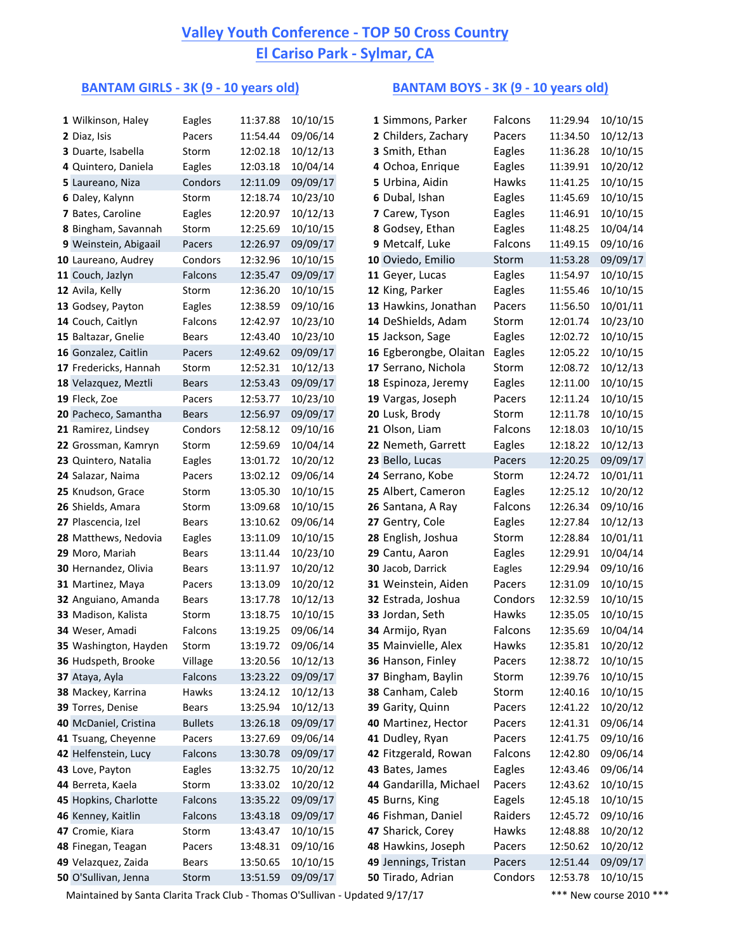# **<u>Valley Youth Conference - TOP 50 Cross Country</u> El Cariso Park - Sylmar, CA**

### **BANTAM GIRLS** - 3K (9 - 10 years old) **BANTAM BOYS** - 3K (9 - 10 years old)

| 1 Wilkinson, Haley         | Eagles         | 11:37.88 | 10/10/15 | 1 Simmons, Parker      | Falcons | 11:29.94 | 10/10/15 |
|----------------------------|----------------|----------|----------|------------------------|---------|----------|----------|
| 2 Diaz, Isis               | Pacers         | 11:54.44 | 09/06/14 | 2 Childers, Zachary    | Pacers  | 11:34.50 | 10/12/13 |
| 3 Duarte, Isabella         | Storm          | 12:02.18 | 10/12/13 | 3 Smith, Ethan         | Eagles  | 11:36.28 | 10/10/15 |
| 4 Quintero, Daniela        | Eagles         | 12:03.18 | 10/04/14 | 4 Ochoa, Enrique       | Eagles  | 11:39.91 | 10/20/12 |
| 5 Laureano, Niza           | Condors        | 12:11.09 | 09/09/17 | 5 Urbina, Aidin        | Hawks   | 11:41.25 | 10/10/15 |
| 6 Daley, Kalynn            | Storm          | 12:18.74 | 10/23/10 | 6 Dubal, Ishan         | Eagles  | 11:45.69 | 10/10/15 |
| 7 Bates, Caroline          | Eagles         | 12:20.97 | 10/12/13 | 7 Carew, Tyson         | Eagles  | 11:46.91 | 10/10/15 |
| 8 Bingham, Savannah        | Storm          | 12:25.69 | 10/10/15 | 8 Godsey, Ethan        | Eagles  | 11:48.25 | 10/04/14 |
| 9 Weinstein, Abigaail      | Pacers         | 12:26.97 | 09/09/17 | 9 Metcalf, Luke        | Falcons | 11:49.15 | 09/10/16 |
| 10 Laureano, Audrey        | Condors        | 12:32.96 | 10/10/15 | 10 Oviedo, Emilio      | Storm   | 11:53.28 | 09/09/17 |
| 11 Couch, Jazlyn           | Falcons        | 12:35.47 | 09/09/17 | 11 Geyer, Lucas        | Eagles  | 11:54.97 | 10/10/15 |
| 12 Avila, Kelly            | Storm          | 12:36.20 | 10/10/15 | 12 King, Parker        | Eagles  | 11:55.46 | 10/10/15 |
| 13 Godsey, Payton          | Eagles         | 12:38.59 | 09/10/16 | 13 Hawkins, Jonathan   | Pacers  | 11:56.50 | 10/01/11 |
| 14 Couch, Caitlyn          | Falcons        | 12:42.97 | 10/23/10 | 14 DeShields, Adam     | Storm   | 12:01.74 | 10/23/10 |
| 15 Baltazar, Gnelie        | Bears          | 12:43.40 | 10/23/10 | 15 Jackson, Sage       | Eagles  | 12:02.72 | 10/10/15 |
| 16 Gonzalez, Caitlin       | Pacers         | 12:49.62 | 09/09/17 | 16 Egberongbe, Olaitan | Eagles  | 12:05.22 | 10/10/15 |
| 17 Fredericks, Hannah      | Storm          | 12:52.31 | 10/12/13 | 17 Serrano, Nichola    | Storm   | 12:08.72 | 10/12/13 |
| 18 Velazquez, Meztli       | <b>Bears</b>   | 12:53.43 | 09/09/17 | 18 Espinoza, Jeremy    | Eagles  | 12:11.00 | 10/10/15 |
| 19 Fleck, Zoe              | Pacers         | 12:53.77 | 10/23/10 | 19 Vargas, Joseph      | Pacers  | 12:11.24 | 10/10/15 |
| 20 Pacheco, Samantha       | <b>Bears</b>   | 12:56.97 | 09/09/17 | 20 Lusk, Brody         | Storm   | 12:11.78 | 10/10/15 |
| 21 Ramirez, Lindsey        | Condors        | 12:58.12 | 09/10/16 | 21 Olson, Liam         | Falcons | 12:18.03 | 10/10/15 |
| 22 Grossman, Kamryn        | Storm          | 12:59.69 | 10/04/14 | 22 Nemeth, Garrett     | Eagles  | 12:18.22 | 10/12/13 |
| 23 Quintero, Natalia       | Eagles         | 13:01.72 | 10/20/12 | 23 Bello, Lucas        | Pacers  | 12:20.25 | 09/09/17 |
| 24 Salazar, Naima          | Pacers         | 13:02.12 | 09/06/14 | 24 Serrano, Kobe       | Storm   | 12:24.72 | 10/01/11 |
| 25 Knudson, Grace          | Storm          | 13:05.30 | 10/10/15 | 25 Albert, Cameron     | Eagles  | 12:25.12 | 10/20/12 |
| 26 Shields, Amara          | Storm          | 13:09.68 | 10/10/15 | 26 Santana, A Ray      | Falcons | 12:26.34 | 09/10/16 |
| 27 Plascencia, Izel        | <b>Bears</b>   | 13:10.62 | 09/06/14 | 27 Gentry, Cole        | Eagles  | 12:27.84 | 10/12/13 |
| 28 Matthews, Nedovia       | Eagles         | 13:11.09 | 10/10/15 | 28 English, Joshua     | Storm   | 12:28.84 | 10/01/11 |
| 29 Moro, Mariah            | Bears          | 13:11.44 | 10/23/10 | 29 Cantu, Aaron        | Eagles  | 12:29.91 | 10/04/14 |
| 30 Hernandez, Olivia       | Bears          | 13:11.97 | 10/20/12 | 30 Jacob, Darrick      | Eagles  | 12:29.94 | 09/10/16 |
| 31 Martinez, Maya          | Pacers         | 13:13.09 | 10/20/12 | 31 Weinstein, Aiden    | Pacers  | 12:31.09 | 10/10/15 |
| 32 Anguiano, Amanda        | Bears          | 13:17.78 | 10/12/13 | 32 Estrada, Joshua     | Condors | 12:32.59 | 10/10/15 |
| 33 Madison, Kalista        | Storm          | 13:18.75 | 10/10/15 | 33 Jordan, Seth        | Hawks   | 12:35.05 | 10/10/15 |
| 34 Weser, Amadi            | Falcons        | 13:19.25 | 09/06/14 | 34 Armijo, Ryan        | Falcons | 12:35.69 | 10/04/14 |
| 35 Washington, Hayden      | Storm          | 13:19.72 | 09/06/14 | 35 Mainvielle, Alex    | Hawks   | 12:35.81 | 10/20/12 |
| <b>36 Hudspeth, Brooke</b> | Village        | 13:20.56 | 10/12/13 | 36 Hanson, Finley      | Pacers  | 12:38.72 | 10/10/15 |
| 37 Ataya, Ayla             | Falcons        | 13:23.22 | 09/09/17 | 37 Bingham, Baylin     | Storm   | 12:39.76 | 10/10/15 |
| 38 Mackey, Karrina         | Hawks          | 13:24.12 | 10/12/13 | 38 Canham, Caleb       | Storm   | 12:40.16 | 10/10/15 |
| 39 Torres, Denise          | Bears          | 13:25.94 | 10/12/13 | 39 Garity, Quinn       | Pacers  | 12:41.22 | 10/20/12 |
| 40 McDaniel, Cristina      | <b>Bullets</b> | 13:26.18 | 09/09/17 | 40 Martinez, Hector    | Pacers  | 12:41.31 | 09/06/14 |
| 41 Tsuang, Cheyenne        | Pacers         | 13:27.69 | 09/06/14 | 41 Dudley, Ryan        | Pacers  | 12:41.75 | 09/10/16 |
| 42 Helfenstein, Lucy       | Falcons        | 13:30.78 | 09/09/17 | 42 Fitzgerald, Rowan   | Falcons | 12:42.80 | 09/06/14 |
| 43 Love, Payton            | Eagles         | 13:32.75 | 10/20/12 | 43 Bates, James        | Eagles  | 12:43.46 | 09/06/14 |
| 44 Berreta, Kaela          | Storm          | 13:33.02 | 10/20/12 | 44 Gandarilla, Michael | Pacers  | 12:43.62 | 10/10/15 |
| 45 Hopkins, Charlotte      | Falcons        | 13:35.22 | 09/09/17 | 45 Burns, King         | Eagels  | 12:45.18 | 10/10/15 |
| 46 Kenney, Kaitlin         | Falcons        | 13:43.18 | 09/09/17 | 46 Fishman, Daniel     | Raiders | 12:45.72 | 09/10/16 |
| 47 Cromie, Kiara           | Storm          | 13:43.47 | 10/10/15 | 47 Sharick, Corey      | Hawks   | 12:48.88 | 10/20/12 |
| 48 Finegan, Teagan         | Pacers         | 13:48.31 | 09/10/16 | 48 Hawkins, Joseph     | Pacers  | 12:50.62 | 10/20/12 |
| 49 Velazquez, Zaida        | Bears          | 13:50.65 | 10/10/15 | 49 Jennings, Tristan   | Pacers  | 12:51.44 | 09/09/17 |
| 50 O'Sullivan, Jenna       | Storm          | 13:51.59 | 09/09/17 | 50 Tirado, Adrian      | Condors | 12:53.78 | 10/10/15 |

| Simmons, Parker     | Falcons      | 11:29.94 | 10/10/15 |
|---------------------|--------------|----------|----------|
| Childers, Zachary   | Pacers       | 11:34.50 | 10/12/13 |
| Smith, Ethan        | Eagles       | 11:36.28 | 10/10/15 |
| Ochoa, Enrique      | Eagles       | 11:39.91 | 10/20/12 |
| Urbina, Aidin       | Hawks        | 11:41.25 | 10/10/15 |
| Dubal, Ishan        | Eagles       | 11:45.69 | 10/10/15 |
| Carew, Tyson        | Eagles       | 11:46.91 | 10/10/15 |
| Godsey, Ethan       | Eagles       | 11:48.25 | 10/04/14 |
| Metcalf, Luke       | Falcons      | 11:49.15 | 09/10/16 |
| Oviedo, Emilio      | Storm        | 11:53.28 | 09/09/17 |
| Geyer, Lucas        | Eagles       | 11:54.97 | 10/10/15 |
| King, Parker        | Eagles       | 11:55.46 | 10/10/15 |
| Hawkins, Jonathan   | Pacers       | 11:56.50 | 10/01/11 |
| DeShields, Adam     | Storm        | 12:01.74 | 10/23/10 |
| Jackson, Sage       | Eagles       | 12:02.72 | 10/10/15 |
| Egberongbe, Olaitan | Eagles       | 12:05.22 | 10/10/15 |
| Serrano, Nichola    | Storm        | 12:08.72 | 10/12/13 |
| Espinoza, Jeremy    | Eagles       | 12:11.00 | 10/10/15 |
| Vargas, Joseph      | Pacers       | 12:11.24 | 10/10/15 |
| Lusk, Brody         | Storm        | 12:11.78 | 10/10/15 |
| Olson, Liam         | Falcons      | 12:18.03 | 10/10/15 |
| Nemeth, Garrett     | Eagles       | 12:18.22 | 10/12/13 |
| Bello, Lucas        | Pacers       | 12:20.25 | 09/09/17 |
| Serrano, Kobe       | Storm        | 12:24.72 | 10/01/11 |
| Albert, Cameron     | Eagles       | 12:25.12 | 10/20/12 |
| Santana, A Ray      | Falcons      | 12:26.34 | 09/10/16 |
| Gentry, Cole        | Eagles       | 12:27.84 | 10/12/13 |
| English, Joshua     | Storm        | 12:28.84 | 10/01/11 |
| Cantu, Aaron        | Eagles       | 12:29.91 | 10/04/14 |
| Jacob, Darrick      | Eagles       | 12:29.94 | 09/10/16 |
| Weinstein, Aiden    | Pacers       | 12:31.09 | 10/10/15 |
| Estrada, Joshua     | Condors      | 12:32.59 | 10/10/15 |
| Jordan, Seth        | <b>Hawks</b> | 12:35.05 | 10/10/15 |
| Armijo, Ryan        | Falcons      | 12:35.69 | 10/04/14 |
| Mainvielle, Alex    | Hawks        | 12:35.81 | 10/20/12 |
| Hanson, Finley      | Pacers       | 12:38.72 | 10/10/15 |
| Bingham, Baylin     | Storm        | 12:39.76 | 10/10/15 |
| Canham, Caleb       | Storm        | 12:40.16 | 10/10/15 |
| Garity, Quinn       | Pacers       | 12:41.22 | 10/20/12 |
| Martinez, Hector    | Pacers       | 12:41.31 | 09/06/14 |
| Dudley, Ryan        | Pacers       | 12:41.75 | 09/10/16 |
| Fitzgerald, Rowan   | Falcons      | 12:42.80 | 09/06/14 |
| Bates, James        | Eagles       | 12:43.46 | 09/06/14 |
| Gandarilla, Michael | Pacers       | 12:43.62 | 10/10/15 |
| Burns, King         | Eagels       | 12:45.18 | 10/10/15 |
| Fishman, Daniel     | Raiders      | 12:45.72 | 09/10/16 |
| Sharick, Corey      | Hawks        | 12:48.88 | 10/20/12 |
| Hawkins, Joseph     | Pacers       | 12:50.62 | 10/20/12 |
| Jennings, Tristan   | Pacers       | 12:51.44 | 09/09/17 |
| Tirado, Adrian      | Condors      | 12:53.78 | 10/10/15 |

Maintained by Santa Clarita Track Club - Thomas O'Sullivan - Updated 9/17/17 \*\*\* \*\*\* New course 2010 \*\*\*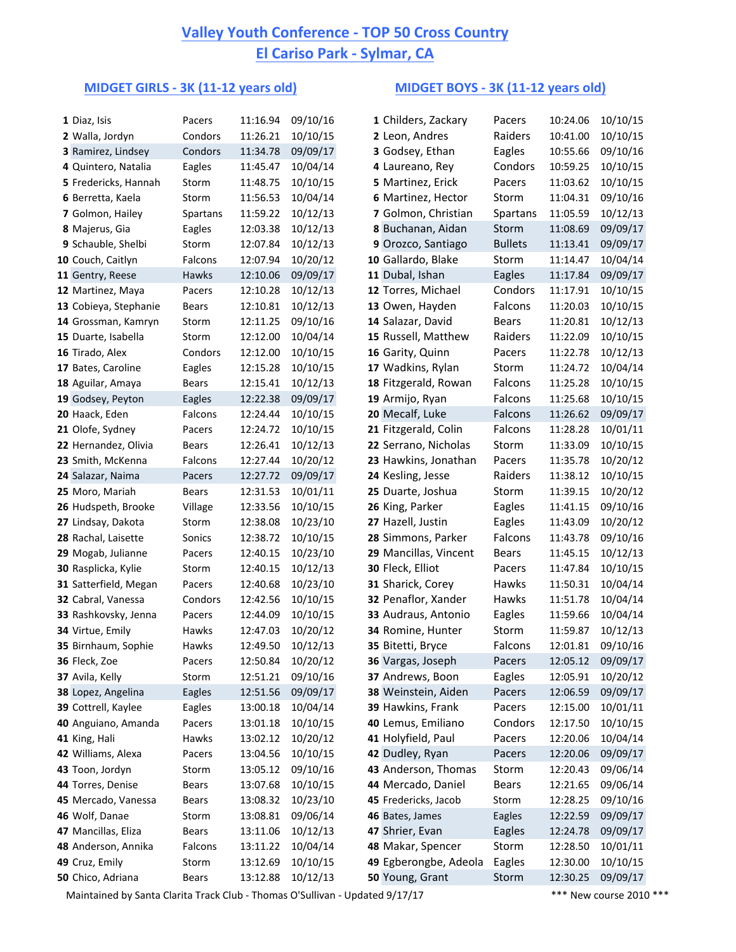## **Valley Youth Conference - TOP 50 Cross Country El Cariso Park - Sylmar, CA**

### **MIDGET GIRLS - 3K (11-12 years old) MIDGET BOYS - 3K (11-12 years old)**

| 1 Diaz, Isis          | Pacers       | 11:16.94 | 09/10/16 | 1 Childers, Zackary   | Pacers         | 10:24.06 | 10/10/15 |
|-----------------------|--------------|----------|----------|-----------------------|----------------|----------|----------|
| 2 Walla, Jordyn       | Condors      | 11:26.21 | 10/10/15 | 2 Leon, Andres        | Raiders        | 10:41.00 | 10/10/15 |
| 3 Ramirez, Lindsey    | Condors      | 11:34.78 | 09/09/17 | 3 Godsey, Ethan       | Eagles         | 10:55.66 | 09/10/16 |
| 4 Quintero, Natalia   | Eagles       | 11:45.47 | 10/04/14 | 4 Laureano, Rey       | Condors        | 10:59.25 | 10/10/15 |
| 5 Fredericks, Hannah  | Storm        | 11:48.75 | 10/10/15 | 5 Martinez, Erick     | Pacers         | 11:03.62 | 10/10/15 |
| 6 Berretta, Kaela     | Storm        | 11:56.53 | 10/04/14 | 6 Martinez, Hector    | Storm          | 11:04.31 | 09/10/16 |
| 7 Golmon, Hailey      | Spartans     | 11:59.22 | 10/12/13 | 7 Golmon, Christian   | Spartans       | 11:05.59 | 10/12/13 |
| 8 Majerus, Gia        | Eagles       | 12:03.38 | 10/12/13 | 8 Buchanan, Aidan     | Storm          | 11:08.69 | 09/09/17 |
| 9 Schauble, Shelbi    | Storm        | 12:07.84 | 10/12/13 | 9 Orozco, Santiago    | <b>Bullets</b> | 11:13.41 | 09/09/17 |
| 10 Couch, Caitlyn     | Falcons      | 12:07.94 | 10/20/12 | 10 Gallardo, Blake    | Storm          | 11:14.47 | 10/04/14 |
| 11 Gentry, Reese      | Hawks        | 12:10.06 | 09/09/17 | 11 Dubal, Ishan       | Eagles         | 11:17.84 | 09/09/17 |
| 12 Martinez, Maya     | Pacers       | 12:10.28 | 10/12/13 | 12 Torres, Michael    | Condors        | 11:17.91 | 10/10/15 |
| 13 Cobieya, Stephanie | <b>Bears</b> | 12:10.81 | 10/12/13 | 13 Owen, Hayden       | Falcons        | 11:20.03 | 10/10/15 |
| 14 Grossman, Kamryn   | Storm        | 12:11.25 | 09/10/16 | 14 Salazar, David     | <b>Bears</b>   | 11:20.81 | 10/12/13 |
| 15 Duarte, Isabella   | Storm        | 12:12.00 | 10/04/14 | 15 Russell, Matthew   | Raiders        | 11:22.09 | 10/10/15 |
| 16 Tirado, Alex       | Condors      | 12:12.00 | 10/10/15 | 16 Garity, Quinn      | Pacers         | 11:22.78 | 10/12/13 |
| 17 Bates, Caroline    | Eagles       | 12:15.28 | 10/10/15 | 17 Wadkins, Rylan     | Storm          | 11:24.72 | 10/04/14 |
| 18 Aguilar, Amaya     | Bears        | 12:15.41 | 10/12/13 | 18 Fitzgerald, Rowan  | Falcons        | 11:25.28 | 10/10/15 |
| 19 Godsey, Peyton     | Eagles       | 12:22.38 | 09/09/17 | 19 Armijo, Ryan       | Falcons        | 11:25.68 | 10/10/15 |
| 20 Haack, Eden        | Falcons      | 12:24.44 | 10/10/15 | 20 Mecalf, Luke       | Falcons        | 11:26.62 | 09/09/17 |
| 21 Olofe, Sydney      | Pacers       | 12:24.72 | 10/10/15 | 21 Fitzgerald, Colin  | Falcons        | 11:28.28 | 10/01/11 |
| 22 Hernandez, Olivia  | <b>Bears</b> | 12:26.41 | 10/12/13 | 22 Serrano, Nicholas  | Storm          | 11:33.09 | 10/10/15 |
| 23 Smith, McKenna     | Falcons      | 12:27.44 | 10/20/12 | 23 Hawkins, Jonathan  | Pacers         | 11:35.78 | 10/20/12 |
| 24 Salazar, Naima     | Pacers       | 12:27.72 | 09/09/17 | 24 Kesling, Jesse     | Raiders        | 11:38.12 | 10/10/15 |
| 25 Moro, Mariah       | <b>Bears</b> | 12:31.53 | 10/01/11 | 25 Duarte, Joshua     | Storm          | 11:39.15 | 10/20/12 |
| 26 Hudspeth, Brooke   | Village      | 12:33.56 | 10/10/15 | 26 King, Parker       | Eagles         | 11:41.15 | 09/10/16 |
| 27 Lindsay, Dakota    | Storm        | 12:38.08 | 10/23/10 | 27 Hazell, Justin     | Eagles         | 11:43.09 | 10/20/12 |
| 28 Rachal, Laisette   | Sonics       | 12:38.72 | 10/10/15 | 28 Simmons, Parker    | Falcons        | 11:43.78 | 09/10/16 |
| 29 Mogab, Julianne    | Pacers       | 12:40.15 | 10/23/10 | 29 Mancillas, Vincent | Bears          | 11:45.15 | 10/12/13 |
| 30 Rasplicka, Kylie   | Storm        | 12:40.15 | 10/12/13 | 30 Fleck, Elliot      | Pacers         | 11:47.84 | 10/10/15 |
| 31 Satterfield, Megan | Pacers       | 12:40.68 | 10/23/10 | 31 Sharick, Corey     | Hawks          | 11:50.31 | 10/04/14 |
| 32 Cabral, Vanessa    | Condors      | 12:42.56 | 10/10/15 | 32 Penaflor, Xander   | Hawks          | 11:51.78 | 10/04/14 |
| 33 Rashkovsky, Jenna  | Pacers       | 12:44.09 | 10/10/15 | 33 Audraus, Antonio   | Eagles         | 11:59.66 | 10/04/14 |
| 34 Virtue, Emily      | Hawks        | 12:47.03 | 10/20/12 | 34 Romine, Hunter     | Storm          | 11:59.87 | 10/12/13 |
| 35 Birnhaum, Sophie   | Hawks        | 12:49.50 | 10/12/13 | 35 Bitetti, Bryce     | Falcons        | 12:01.81 | 09/10/16 |
| 36 Fleck, Zoe         | Pacers       | 12:50.84 | 10/20/12 | 36 Vargas, Joseph     | Pacers         | 12:05.12 | 09/09/17 |
| 37 Avila, Kelly       | Storm        | 12:51.21 | 09/10/16 | 37 Andrews, Boon      | Eagles         | 12:05.91 | 10/20/12 |
| 38 Lopez, Angelina    | Eagles       | 12:51.56 | 09/09/17 | 38 Weinstein, Aiden   | Pacers         | 12:06.59 | 09/09/17 |
| 39 Cottrell, Kaylee   | Eagles       | 13:00.18 | 10/04/14 | 39 Hawkins, Frank     | Pacers         | 12:15.00 | 10/01/11 |
| 40 Anguiano, Amanda   | Pacers       | 13:01.18 | 10/10/15 | 40 Lemus, Emiliano    | Condors        | 12:17.50 | 10/10/15 |
| 41 King, Hali         | Hawks        | 13:02.12 | 10/20/12 | 41 Holyfield, Paul    | Pacers         | 12:20.06 | 10/04/14 |
| 42 Williams, Alexa    | Pacers       | 13:04.56 | 10/10/15 | 42 Dudley, Ryan       | Pacers         | 12:20.06 | 09/09/17 |
| 43 Toon, Jordyn       | Storm        | 13:05.12 | 09/10/16 | 43 Anderson, Thomas   | Storm          | 12:20.43 | 09/06/14 |
| 44 Torres, Denise     | Bears        | 13:07.68 | 10/10/15 | 44 Mercado, Daniel    | <b>Bears</b>   | 12:21.65 | 09/06/14 |
| 45 Mercado, Vanessa   | Bears        | 13:08.32 | 10/23/10 | 45 Fredericks, Jacob  | Storm          | 12:28.25 | 09/10/16 |
| 46 Wolf, Danae        | Storm        | 13:08.81 | 09/06/14 | 46 Bates, James       | Eagles         | 12:22.59 | 09/09/17 |
| 47 Mancillas, Eliza   | Bears        | 13:11.06 | 10/12/13 | 47 Shrier, Evan       | <b>Eagles</b>  | 12:24.78 | 09/09/17 |
| 48 Anderson, Annika   | Falcons      | 13:11.22 | 10/04/14 | 48 Makar, Spencer     | Storm          | 12:28.50 | 10/01/11 |
| 49 Cruz, Emily        | Storm        | 13:12.69 | 10/10/15 | 49 Egberongbe, Adeola | Eagles         | 12:30.00 | 10/10/15 |
| 50 Chico, Adriana     | Bears        | 13:12.88 | 10/12/13 | 50 Young, Grant       | Storm          | 12:30.25 | 09/09/17 |
|                       |              |          |          |                       |                |          |          |

| hilders, Zackary   | Pacers         | 10:24.06 | 10/10/15 |
|--------------------|----------------|----------|----------|
| eon, Andres        | Raiders        | 10:41.00 | 10/10/15 |
| odsey, Ethan       | Eagles         | 10:55.66 | 09/10/16 |
| aureano, Rey       | Condors        | 10:59.25 | 10/10/15 |
| lartinez, Erick    | Pacers         | 11:03.62 | 10/10/15 |
| lartinez, Hector   | Storm          | 11:04.31 | 09/10/16 |
| olmon, Christian   | Spartans       | 11:05.59 | 10/12/13 |
| uchanan, Aidan     | Storm          | 11:08.69 | 09/09/17 |
| rozco, Santiago    | <b>Bullets</b> | 11:13.41 | 09/09/17 |
| allardo, Blake     | <b>Storm</b>   | 11:14.47 | 10/04/14 |
| ubal, Ishan        | Eagles         | 11:17.84 | 09/09/17 |
| orres, Michael     | Condors        | 11:17.91 | 10/10/15 |
| wen, Hayden        | Falcons        | 11:20.03 | 10/10/15 |
| alazar, David      | Bears          | 11:20.81 | 10/12/13 |
| ussell, Matthew    | Raiders        | 11:22.09 | 10/10/15 |
| arity, Quinn       | Pacers         | 11:22.78 | 10/12/13 |
| /adkins, Rylan     | Storm          | 11:24.72 | 10/04/14 |
| tzgerald, Rowan    | Falcons        | 11:25.28 | 10/10/15 |
| rmijo, Ryan        | Falcons        | 11:25.68 | 10/10/15 |
| lecalf, Luke       | Falcons        | 11:26.62 | 09/09/17 |
| tzgerald, Colin    | Falcons        | 11:28.28 | 10/01/11 |
| errano, Nicholas   | Storm          | 11:33.09 | 10/10/15 |
| awkins, Jonathan   | Pacers         | 11:35.78 | 10/20/12 |
| esling, Jesse      | Raiders        | 11:38.12 | 10/10/15 |
| uarte, Joshua      | Storm          | 11:39.15 | 10/20/12 |
|                    |                |          |          |
| ing, Parker        | Eagles         | 11:41.15 | 09/10/16 |
| azell, Justin      | Eagles         | 11:43.09 | 10/20/12 |
| mmons, Parker      | Falcons        | 11:43.78 | 09/10/16 |
| lancillas, Vincent | Bears          | 11:45.15 | 10/12/13 |
| eck, Elliot        | Pacers         | 11:47.84 | 10/10/15 |
| harick, Corey      | Hawks          | 11:50.31 | 10/04/14 |
| enaflor, Xander    | Hawks          | 11:51.78 | 10/04/14 |
| udraus, Antonio    | Eagles         | 11:59.66 | 10/04/14 |
| omine, Hunter      | Storm          | 11:59.87 | 10/12/13 |
| itetti, Bryce      | Falcons        | 12:01.81 | 09/10/16 |
| argas, Joseph      | Pacers         | 12:05.12 | 09/09/17 |
| ndrews, Boon       | Eagles         | 12:05.91 | 10/20/12 |
| /einstein, Aiden   | Pacers         | 12:06.59 | 09/09/17 |
| awkins, Frank      | Pacers         | 12:15.00 | 10/01/11 |
| emus, Emiliano     | Condors        | 12:17.50 | 10/10/15 |
| olyfield, Paul     | Pacers         | 12:20.06 | 10/04/14 |
| udley, Ryan        | Pacers         | 12:20.06 | 09/09/17 |
| nderson, Thomas    | Storm          | 12:20.43 | 09/06/14 |
| lercado, Daniel    | <b>Bears</b>   | 12:21.65 | 09/06/14 |
| edericks, Jacob    | Storm          | 12:28.25 | 09/10/16 |
| ates, James        | Eagles         | 12:22.59 | 09/09/17 |
| hrier, Evan        | Eagles         | 12:24.78 | 09/09/17 |
| lakar, Spencer     | Storm          | 12:28.50 | 10/01/11 |
| gberongbe, Adeola  | Eagles         | 12:30.00 | 10/10/15 |
| oung, Grant        | Storm          | 12:30.25 | 09/09/17 |

Maintained by Santa Clarita Track Club - Thomas O'Sullivan - Updated  $9/17/17$  \*\*\* New course 2010 \*\*\*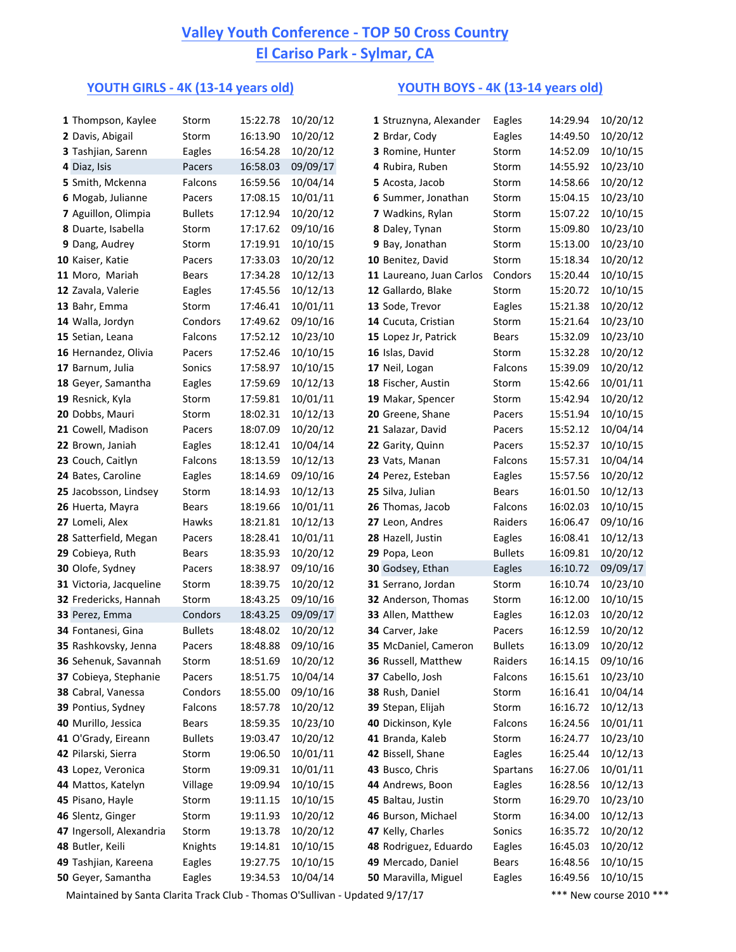## **Valley Youth Conference - TOP 50 Cross Country El Cariso Park - Sylmar, CA**

### **YOUTH GIRLS** - 4K (13-14 years old) **YOUTH BOYS** - 4K (13-14 years old)

| 1 Thompson, Kaylee      | Storm                                                                                                                                                                                                                                                       |                                                                                                            |                                                                                                                                  |                                                                                                                                                                      |                                                                                                                                                                                                                                         |                                                                                                                                                                                                                                                                                                                                                                                                                                                                                                                            | 10/20/12                                                                                                                                                                                                                                                                                                                                                                                                                                                                                                                                                                                                             |
|-------------------------|-------------------------------------------------------------------------------------------------------------------------------------------------------------------------------------------------------------------------------------------------------------|------------------------------------------------------------------------------------------------------------|----------------------------------------------------------------------------------------------------------------------------------|----------------------------------------------------------------------------------------------------------------------------------------------------------------------|-----------------------------------------------------------------------------------------------------------------------------------------------------------------------------------------------------------------------------------------|----------------------------------------------------------------------------------------------------------------------------------------------------------------------------------------------------------------------------------------------------------------------------------------------------------------------------------------------------------------------------------------------------------------------------------------------------------------------------------------------------------------------------|----------------------------------------------------------------------------------------------------------------------------------------------------------------------------------------------------------------------------------------------------------------------------------------------------------------------------------------------------------------------------------------------------------------------------------------------------------------------------------------------------------------------------------------------------------------------------------------------------------------------|
|                         |                                                                                                                                                                                                                                                             |                                                                                                            |                                                                                                                                  |                                                                                                                                                                      |                                                                                                                                                                                                                                         |                                                                                                                                                                                                                                                                                                                                                                                                                                                                                                                            | 10/20/12                                                                                                                                                                                                                                                                                                                                                                                                                                                                                                                                                                                                             |
|                         |                                                                                                                                                                                                                                                             |                                                                                                            |                                                                                                                                  |                                                                                                                                                                      |                                                                                                                                                                                                                                         |                                                                                                                                                                                                                                                                                                                                                                                                                                                                                                                            | 10/10/15                                                                                                                                                                                                                                                                                                                                                                                                                                                                                                                                                                                                             |
|                         |                                                                                                                                                                                                                                                             |                                                                                                            |                                                                                                                                  |                                                                                                                                                                      |                                                                                                                                                                                                                                         |                                                                                                                                                                                                                                                                                                                                                                                                                                                                                                                            | 10/23/10                                                                                                                                                                                                                                                                                                                                                                                                                                                                                                                                                                                                             |
|                         |                                                                                                                                                                                                                                                             |                                                                                                            |                                                                                                                                  |                                                                                                                                                                      |                                                                                                                                                                                                                                         |                                                                                                                                                                                                                                                                                                                                                                                                                                                                                                                            | 10/20/12                                                                                                                                                                                                                                                                                                                                                                                                                                                                                                                                                                                                             |
| 6 Mogab, Julianne       |                                                                                                                                                                                                                                                             |                                                                                                            |                                                                                                                                  | 6 Summer, Jonathan                                                                                                                                                   |                                                                                                                                                                                                                                         |                                                                                                                                                                                                                                                                                                                                                                                                                                                                                                                            | 10/23/10                                                                                                                                                                                                                                                                                                                                                                                                                                                                                                                                                                                                             |
| 7 Aguillon, Olimpia     | <b>Bullets</b>                                                                                                                                                                                                                                              | 17:12.94                                                                                                   |                                                                                                                                  | 7 Wadkins, Rylan                                                                                                                                                     |                                                                                                                                                                                                                                         |                                                                                                                                                                                                                                                                                                                                                                                                                                                                                                                            | 10/10/15                                                                                                                                                                                                                                                                                                                                                                                                                                                                                                                                                                                                             |
| 8 Duarte, Isabella      | Storm                                                                                                                                                                                                                                                       | 17:17.62                                                                                                   |                                                                                                                                  | 8 Daley, Tynan                                                                                                                                                       |                                                                                                                                                                                                                                         |                                                                                                                                                                                                                                                                                                                                                                                                                                                                                                                            | 10/23/10                                                                                                                                                                                                                                                                                                                                                                                                                                                                                                                                                                                                             |
|                         | Storm                                                                                                                                                                                                                                                       | 17:19.91                                                                                                   | 10/10/15                                                                                                                         | 9 Bay, Jonathan                                                                                                                                                      |                                                                                                                                                                                                                                         |                                                                                                                                                                                                                                                                                                                                                                                                                                                                                                                            | 10/23/10                                                                                                                                                                                                                                                                                                                                                                                                                                                                                                                                                                                                             |
| 10 Kaiser, Katie        | Pacers                                                                                                                                                                                                                                                      | 17:33.03                                                                                                   | 10/20/12                                                                                                                         | 10 Benitez, David                                                                                                                                                    |                                                                                                                                                                                                                                         |                                                                                                                                                                                                                                                                                                                                                                                                                                                                                                                            | 10/20/12                                                                                                                                                                                                                                                                                                                                                                                                                                                                                                                                                                                                             |
| 11 Moro, Mariah         | <b>Bears</b>                                                                                                                                                                                                                                                | 17:34.28                                                                                                   | 10/12/13                                                                                                                         | 11 Laureano, Juan Carlos                                                                                                                                             |                                                                                                                                                                                                                                         |                                                                                                                                                                                                                                                                                                                                                                                                                                                                                                                            | 10/10/15                                                                                                                                                                                                                                                                                                                                                                                                                                                                                                                                                                                                             |
| 12 Zavala, Valerie      | Eagles                                                                                                                                                                                                                                                      | 17:45.56                                                                                                   | 10/12/13                                                                                                                         | 12 Gallardo, Blake                                                                                                                                                   |                                                                                                                                                                                                                                         |                                                                                                                                                                                                                                                                                                                                                                                                                                                                                                                            | 10/10/15                                                                                                                                                                                                                                                                                                                                                                                                                                                                                                                                                                                                             |
| 13 Bahr, Emma           | Storm                                                                                                                                                                                                                                                       | 17:46.41                                                                                                   | 10/01/11                                                                                                                         | 13 Sode, Trevor                                                                                                                                                      |                                                                                                                                                                                                                                         |                                                                                                                                                                                                                                                                                                                                                                                                                                                                                                                            | 10/20/12                                                                                                                                                                                                                                                                                                                                                                                                                                                                                                                                                                                                             |
| 14 Walla, Jordyn        | Condors                                                                                                                                                                                                                                                     | 17:49.62                                                                                                   | 09/10/16                                                                                                                         | 14 Cucuta, Cristian                                                                                                                                                  |                                                                                                                                                                                                                                         |                                                                                                                                                                                                                                                                                                                                                                                                                                                                                                                            | 10/23/10                                                                                                                                                                                                                                                                                                                                                                                                                                                                                                                                                                                                             |
| 15 Setian, Leana        | Falcons                                                                                                                                                                                                                                                     | 17:52.12                                                                                                   | 10/23/10                                                                                                                         | 15 Lopez Jr, Patrick                                                                                                                                                 |                                                                                                                                                                                                                                         |                                                                                                                                                                                                                                                                                                                                                                                                                                                                                                                            | 10/23/10                                                                                                                                                                                                                                                                                                                                                                                                                                                                                                                                                                                                             |
| 16 Hernandez, Olivia    | Pacers                                                                                                                                                                                                                                                      | 17:52.46                                                                                                   | 10/10/15                                                                                                                         | 16 Islas, David                                                                                                                                                      |                                                                                                                                                                                                                                         |                                                                                                                                                                                                                                                                                                                                                                                                                                                                                                                            | 10/20/12                                                                                                                                                                                                                                                                                                                                                                                                                                                                                                                                                                                                             |
| 17 Barnum, Julia        | Sonics                                                                                                                                                                                                                                                      | 17:58.97                                                                                                   | 10/10/15                                                                                                                         | 17 Neil, Logan                                                                                                                                                       |                                                                                                                                                                                                                                         |                                                                                                                                                                                                                                                                                                                                                                                                                                                                                                                            | 10/20/12                                                                                                                                                                                                                                                                                                                                                                                                                                                                                                                                                                                                             |
| 18 Geyer, Samantha      | Eagles                                                                                                                                                                                                                                                      | 17:59.69                                                                                                   | 10/12/13                                                                                                                         | 18 Fischer, Austin                                                                                                                                                   |                                                                                                                                                                                                                                         |                                                                                                                                                                                                                                                                                                                                                                                                                                                                                                                            | 10/01/11                                                                                                                                                                                                                                                                                                                                                                                                                                                                                                                                                                                                             |
| 19 Resnick, Kyla        | Storm                                                                                                                                                                                                                                                       | 17:59.81                                                                                                   | 10/01/11                                                                                                                         | 19 Makar, Spencer                                                                                                                                                    |                                                                                                                                                                                                                                         |                                                                                                                                                                                                                                                                                                                                                                                                                                                                                                                            | 10/20/12                                                                                                                                                                                                                                                                                                                                                                                                                                                                                                                                                                                                             |
| 20 Dobbs, Mauri         | Storm                                                                                                                                                                                                                                                       | 18:02.31                                                                                                   | 10/12/13                                                                                                                         | 20 Greene, Shane                                                                                                                                                     |                                                                                                                                                                                                                                         |                                                                                                                                                                                                                                                                                                                                                                                                                                                                                                                            | 10/10/15                                                                                                                                                                                                                                                                                                                                                                                                                                                                                                                                                                                                             |
| 21 Cowell, Madison      | Pacers                                                                                                                                                                                                                                                      | 18:07.09                                                                                                   | 10/20/12                                                                                                                         | 21 Salazar, David                                                                                                                                                    |                                                                                                                                                                                                                                         |                                                                                                                                                                                                                                                                                                                                                                                                                                                                                                                            | 10/04/14                                                                                                                                                                                                                                                                                                                                                                                                                                                                                                                                                                                                             |
| 22 Brown, Janiah        | Eagles                                                                                                                                                                                                                                                      | 18:12.41                                                                                                   | 10/04/14                                                                                                                         | 22 Garity, Quinn                                                                                                                                                     |                                                                                                                                                                                                                                         |                                                                                                                                                                                                                                                                                                                                                                                                                                                                                                                            | 10/10/15                                                                                                                                                                                                                                                                                                                                                                                                                                                                                                                                                                                                             |
| 23 Couch, Caitlyn       | Falcons                                                                                                                                                                                                                                                     | 18:13.59                                                                                                   | 10/12/13                                                                                                                         | 23 Vats, Manan                                                                                                                                                       |                                                                                                                                                                                                                                         |                                                                                                                                                                                                                                                                                                                                                                                                                                                                                                                            | 10/04/14                                                                                                                                                                                                                                                                                                                                                                                                                                                                                                                                                                                                             |
| 24 Bates, Caroline      | Eagles                                                                                                                                                                                                                                                      | 18:14.69                                                                                                   | 09/10/16                                                                                                                         | 24 Perez, Esteban                                                                                                                                                    |                                                                                                                                                                                                                                         |                                                                                                                                                                                                                                                                                                                                                                                                                                                                                                                            | 10/20/12                                                                                                                                                                                                                                                                                                                                                                                                                                                                                                                                                                                                             |
| 25 Jacobsson, Lindsey   | Storm                                                                                                                                                                                                                                                       | 18:14.93                                                                                                   | 10/12/13                                                                                                                         | 25 Silva, Julian                                                                                                                                                     |                                                                                                                                                                                                                                         |                                                                                                                                                                                                                                                                                                                                                                                                                                                                                                                            | 10/12/13                                                                                                                                                                                                                                                                                                                                                                                                                                                                                                                                                                                                             |
| 26 Huerta, Mayra        | Bears                                                                                                                                                                                                                                                       | 18:19.66                                                                                                   | 10/01/11                                                                                                                         | 26 Thomas, Jacob                                                                                                                                                     |                                                                                                                                                                                                                                         |                                                                                                                                                                                                                                                                                                                                                                                                                                                                                                                            | 10/10/15                                                                                                                                                                                                                                                                                                                                                                                                                                                                                                                                                                                                             |
| 27 Lomeli, Alex         | Hawks                                                                                                                                                                                                                                                       | 18:21.81                                                                                                   | 10/12/13                                                                                                                         | 27 Leon, Andres                                                                                                                                                      |                                                                                                                                                                                                                                         |                                                                                                                                                                                                                                                                                                                                                                                                                                                                                                                            | 09/10/16                                                                                                                                                                                                                                                                                                                                                                                                                                                                                                                                                                                                             |
| 28 Satterfield, Megan   | Pacers                                                                                                                                                                                                                                                      | 18:28.41                                                                                                   | 10/01/11                                                                                                                         | 28 Hazell, Justin                                                                                                                                                    |                                                                                                                                                                                                                                         |                                                                                                                                                                                                                                                                                                                                                                                                                                                                                                                            | 10/12/13                                                                                                                                                                                                                                                                                                                                                                                                                                                                                                                                                                                                             |
| 29 Cobieya, Ruth        | Bears                                                                                                                                                                                                                                                       | 18:35.93                                                                                                   | 10/20/12                                                                                                                         | 29 Popa, Leon                                                                                                                                                        |                                                                                                                                                                                                                                         |                                                                                                                                                                                                                                                                                                                                                                                                                                                                                                                            | 10/20/12                                                                                                                                                                                                                                                                                                                                                                                                                                                                                                                                                                                                             |
| 30 Olofe, Sydney        | Pacers                                                                                                                                                                                                                                                      | 18:38.97                                                                                                   | 09/10/16                                                                                                                         | 30 Godsey, Ethan                                                                                                                                                     |                                                                                                                                                                                                                                         |                                                                                                                                                                                                                                                                                                                                                                                                                                                                                                                            | 09/09/17                                                                                                                                                                                                                                                                                                                                                                                                                                                                                                                                                                                                             |
| 31 Victoria, Jacqueline | Storm                                                                                                                                                                                                                                                       | 18:39.75                                                                                                   | 10/20/12                                                                                                                         | 31 Serrano, Jordan                                                                                                                                                   |                                                                                                                                                                                                                                         |                                                                                                                                                                                                                                                                                                                                                                                                                                                                                                                            | 10/23/10                                                                                                                                                                                                                                                                                                                                                                                                                                                                                                                                                                                                             |
| 32 Fredericks, Hannah   | Storm                                                                                                                                                                                                                                                       | 18:43.25                                                                                                   | 09/10/16                                                                                                                         | 32 Anderson, Thomas                                                                                                                                                  |                                                                                                                                                                                                                                         |                                                                                                                                                                                                                                                                                                                                                                                                                                                                                                                            | 10/10/15                                                                                                                                                                                                                                                                                                                                                                                                                                                                                                                                                                                                             |
| 33 Perez, Emma          | Condors                                                                                                                                                                                                                                                     | 18:43.25                                                                                                   | 09/09/17                                                                                                                         | 33 Allen, Matthew                                                                                                                                                    |                                                                                                                                                                                                                                         |                                                                                                                                                                                                                                                                                                                                                                                                                                                                                                                            | 10/20/12                                                                                                                                                                                                                                                                                                                                                                                                                                                                                                                                                                                                             |
| 34 Fontanesi, Gina      | <b>Bullets</b>                                                                                                                                                                                                                                              | 18:48.02                                                                                                   | 10/20/12                                                                                                                         | 34 Carver, Jake                                                                                                                                                      |                                                                                                                                                                                                                                         |                                                                                                                                                                                                                                                                                                                                                                                                                                                                                                                            | 10/20/12                                                                                                                                                                                                                                                                                                                                                                                                                                                                                                                                                                                                             |
| 35 Rashkovsky, Jenna    | Pacers                                                                                                                                                                                                                                                      | 18:48.88                                                                                                   | 09/10/16                                                                                                                         | 35 McDaniel, Cameron                                                                                                                                                 |                                                                                                                                                                                                                                         |                                                                                                                                                                                                                                                                                                                                                                                                                                                                                                                            | 10/20/12                                                                                                                                                                                                                                                                                                                                                                                                                                                                                                                                                                                                             |
| 36 Sehenuk, Savannah    | Storm                                                                                                                                                                                                                                                       | 18:51.69                                                                                                   | 10/20/12                                                                                                                         | 36 Russell, Matthew                                                                                                                                                  |                                                                                                                                                                                                                                         |                                                                                                                                                                                                                                                                                                                                                                                                                                                                                                                            | 09/10/16                                                                                                                                                                                                                                                                                                                                                                                                                                                                                                                                                                                                             |
| 37 Cobieya, Stephanie   | Pacers                                                                                                                                                                                                                                                      | 18:51.75                                                                                                   | 10/04/14                                                                                                                         | 37 Cabello, Josh                                                                                                                                                     |                                                                                                                                                                                                                                         |                                                                                                                                                                                                                                                                                                                                                                                                                                                                                                                            | 10/23/10                                                                                                                                                                                                                                                                                                                                                                                                                                                                                                                                                                                                             |
| 38 Cabral, Vanessa      | Condors                                                                                                                                                                                                                                                     | 18:55.00                                                                                                   | 09/10/16                                                                                                                         | 38 Rush, Daniel                                                                                                                                                      |                                                                                                                                                                                                                                         |                                                                                                                                                                                                                                                                                                                                                                                                                                                                                                                            | 10/04/14                                                                                                                                                                                                                                                                                                                                                                                                                                                                                                                                                                                                             |
| 39 Pontius, Sydney      | Falcons                                                                                                                                                                                                                                                     | 18:57.78                                                                                                   | 10/20/12                                                                                                                         | 39 Stepan, Elijah                                                                                                                                                    |                                                                                                                                                                                                                                         |                                                                                                                                                                                                                                                                                                                                                                                                                                                                                                                            | 10/12/13                                                                                                                                                                                                                                                                                                                                                                                                                                                                                                                                                                                                             |
| 40 Murillo, Jessica     | <b>Bears</b>                                                                                                                                                                                                                                                | 18:59.35                                                                                                   | 10/23/10                                                                                                                         | 40 Dickinson, Kyle                                                                                                                                                   |                                                                                                                                                                                                                                         |                                                                                                                                                                                                                                                                                                                                                                                                                                                                                                                            | 10/01/11                                                                                                                                                                                                                                                                                                                                                                                                                                                                                                                                                                                                             |
| 41 O'Grady, Eireann     | <b>Bullets</b>                                                                                                                                                                                                                                              | 19:03.47                                                                                                   | 10/20/12                                                                                                                         | 41 Branda, Kaleb                                                                                                                                                     |                                                                                                                                                                                                                                         |                                                                                                                                                                                                                                                                                                                                                                                                                                                                                                                            | 10/23/10                                                                                                                                                                                                                                                                                                                                                                                                                                                                                                                                                                                                             |
| 42 Pilarski, Sierra     | Storm                                                                                                                                                                                                                                                       | 19:06.50                                                                                                   | 10/01/11                                                                                                                         | 42 Bissell, Shane                                                                                                                                                    |                                                                                                                                                                                                                                         |                                                                                                                                                                                                                                                                                                                                                                                                                                                                                                                            | 10/12/13                                                                                                                                                                                                                                                                                                                                                                                                                                                                                                                                                                                                             |
|                         | Storm                                                                                                                                                                                                                                                       | 19:09.31                                                                                                   | 10/01/11                                                                                                                         | 43 Busco, Chris                                                                                                                                                      |                                                                                                                                                                                                                                         |                                                                                                                                                                                                                                                                                                                                                                                                                                                                                                                            | 10/01/11                                                                                                                                                                                                                                                                                                                                                                                                                                                                                                                                                                                                             |
|                         |                                                                                                                                                                                                                                                             | 19:09.94                                                                                                   |                                                                                                                                  |                                                                                                                                                                      |                                                                                                                                                                                                                                         |                                                                                                                                                                                                                                                                                                                                                                                                                                                                                                                            | 10/12/13                                                                                                                                                                                                                                                                                                                                                                                                                                                                                                                                                                                                             |
| 45 Pisano, Hayle        | Storm                                                                                                                                                                                                                                                       | 19:11.15                                                                                                   | 10/10/15                                                                                                                         | 45 Baltau, Justin                                                                                                                                                    |                                                                                                                                                                                                                                         |                                                                                                                                                                                                                                                                                                                                                                                                                                                                                                                            | 10/23/10                                                                                                                                                                                                                                                                                                                                                                                                                                                                                                                                                                                                             |
|                         |                                                                                                                                                                                                                                                             |                                                                                                            |                                                                                                                                  |                                                                                                                                                                      |                                                                                                                                                                                                                                         |                                                                                                                                                                                                                                                                                                                                                                                                                                                                                                                            | 10/12/13                                                                                                                                                                                                                                                                                                                                                                                                                                                                                                                                                                                                             |
|                         |                                                                                                                                                                                                                                                             |                                                                                                            |                                                                                                                                  |                                                                                                                                                                      |                                                                                                                                                                                                                                         |                                                                                                                                                                                                                                                                                                                                                                                                                                                                                                                            | 10/20/12                                                                                                                                                                                                                                                                                                                                                                                                                                                                                                                                                                                                             |
|                         |                                                                                                                                                                                                                                                             |                                                                                                            |                                                                                                                                  |                                                                                                                                                                      |                                                                                                                                                                                                                                         |                                                                                                                                                                                                                                                                                                                                                                                                                                                                                                                            | 10/20/12                                                                                                                                                                                                                                                                                                                                                                                                                                                                                                                                                                                                             |
|                         |                                                                                                                                                                                                                                                             |                                                                                                            |                                                                                                                                  |                                                                                                                                                                      |                                                                                                                                                                                                                                         |                                                                                                                                                                                                                                                                                                                                                                                                                                                                                                                            | 10/10/15                                                                                                                                                                                                                                                                                                                                                                                                                                                                                                                                                                                                             |
|                         |                                                                                                                                                                                                                                                             |                                                                                                            |                                                                                                                                  |                                                                                                                                                                      |                                                                                                                                                                                                                                         |                                                                                                                                                                                                                                                                                                                                                                                                                                                                                                                            | 10/10/15                                                                                                                                                                                                                                                                                                                                                                                                                                                                                                                                                                                                             |
|                         |                                                                                                                                                                                                                                                             |                                                                                                            |                                                                                                                                  |                                                                                                                                                                      |                                                                                                                                                                                                                                         |                                                                                                                                                                                                                                                                                                                                                                                                                                                                                                                            |                                                                                                                                                                                                                                                                                                                                                                                                                                                                                                                                                                                                                      |
|                         | 2 Davis, Abigail<br>3 Tashjian, Sarenn<br>4 Diaz, Isis<br>5 Smith, Mckenna<br>9 Dang, Audrey<br>43 Lopez, Veronica<br>44 Mattos, Katelyn<br>46 Slentz, Ginger<br>47 Ingersoll, Alexandria<br>48 Butler, Keili<br>49 Tashjian, Kareena<br>50 Geyer, Samantha | Storm<br>Eagles<br>Pacers<br>Falcons<br>Pacers<br>Village<br>Storm<br>Storm<br>Knights<br>Eagles<br>Eagles | 15:22.78<br>16:13.90<br>16:54.28<br>16:58.03<br>16:59.56<br>17:08.15<br>19:11.93<br>19:13.78<br>19:14.81<br>19:27.75<br>19:34.53 | 10/20/12<br>10/20/12<br>10/20/12<br>09/09/17<br>10/04/14<br>10/01/11<br>10/20/12<br>09/10/16<br>10/10/15<br>10/20/12<br>10/20/12<br>10/10/15<br>10/10/15<br>10/04/14 | 1 Struznyna, Alexander<br>2 Brdar, Cody<br>3 Romine, Hunter<br>4 Rubira, Ruben<br>5 Acosta, Jacob<br>44 Andrews, Boon<br>46 Burson, Michael<br>47 Kelly, Charles<br>48 Rodriguez, Eduardo<br>49 Mercado, Daniel<br>50 Maravilla, Miguel | Eagles<br>Eagles<br>Storm<br>Storm<br>Storm<br>Storm<br>Storm<br>Storm<br>Storm<br>Storm<br>Condors<br>Storm<br>Eagles<br>Storm<br>Bears<br>Storm<br>Falcons<br>Storm<br>Storm<br>Pacers<br>Pacers<br>Pacers<br>Falcons<br>Eagles<br>Bears<br>Falcons<br>Raiders<br>Eagles<br><b>Bullets</b><br>Eagles<br>Storm<br>Storm<br>Eagles<br>Pacers<br><b>Bullets</b><br>Raiders<br>Falcons<br>Storm<br>Storm<br>Falcons<br>Storm<br>Eagles<br>Spartans<br>Eagles<br>Storm<br>Storm<br>Sonics<br>Eagles<br><b>Bears</b><br>Eagles | 14:29.94<br>14:49.50<br>14:52.09<br>14:55.92<br>14:58.66<br>15:04.15<br>15:07.22<br>15:09.80<br>15:13.00<br>15:18.34<br>15:20.44<br>15:20.72<br>15:21.38<br>15:21.64<br>15:32.09<br>15:32.28<br>15:39.09<br>15:42.66<br>15:42.94<br>15:51.94<br>15:52.12<br>15:52.37<br>15:57.31<br>15:57.56<br>16:01.50<br>16:02.03<br>16:06.47<br>16:08.41<br>16:09.81<br>16:10.72<br>16:10.74<br>16:12.00<br>16:12.03<br>16:12.59<br>16:13.09<br>16:14.15<br>16:15.61<br>16:16.41<br>16:16.72<br>16:24.56<br>16:24.77<br>16:25.44<br>16:27.06<br>16:28.56<br>16:29.70<br>16:34.00<br>16:35.72<br>16:45.03<br>16:48.56<br>16:49.56 |

Maintained by Santa Clarita Track Club - Thomas O'Sullivan - Updated 9/17/17 \*\*\* New course 2010 \*\*\*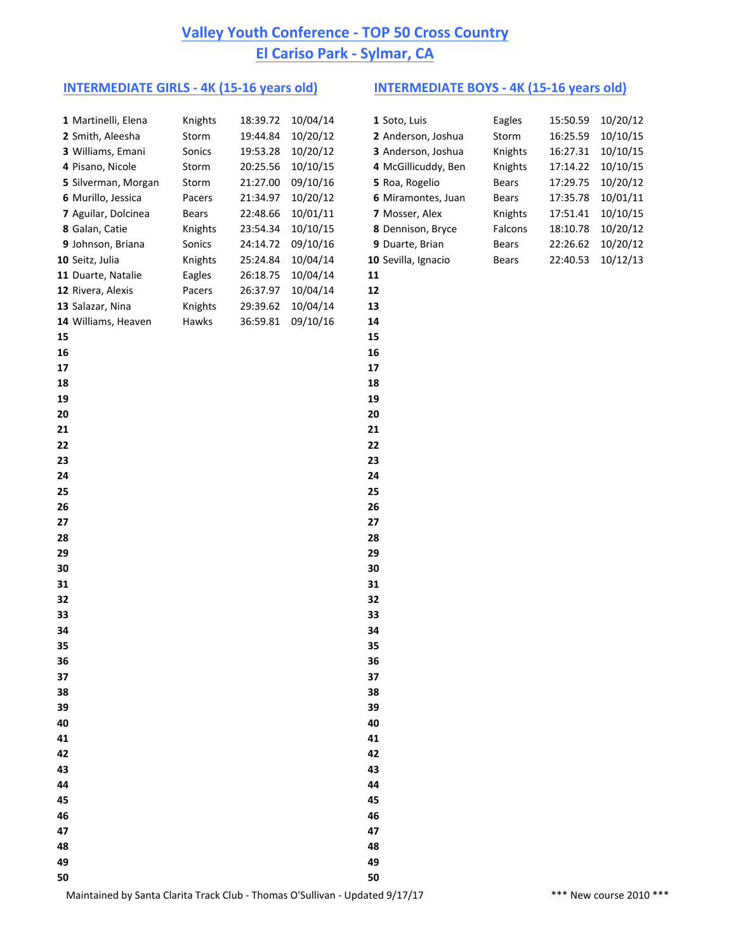# **Valley Youth Conference - TOP 50 Cross Country El Cariso Park - Sylmar, CA**

### **INTERMEDIATE GIRLS - 4K (15-16 years old) INTERMEDIATE BOYS - 4K (15-16 years old)**

|    | 1 Martinelli, Elena | Knights | 18:39.72 | 10/04/14 | 1 Soto, Luis        | Eagles  | 15:50.59 | 10/20/12 |
|----|---------------------|---------|----------|----------|---------------------|---------|----------|----------|
|    | 2 Smith, Aleesha    | Storm   | 19:44.84 | 10/20/12 | 2 Anderson, Joshua  | Storm   | 16:25.59 | 10/10/15 |
|    | 3 Williams, Emani   | Sonics  | 19:53.28 | 10/20/12 | 3 Anderson, Joshua  | Knights | 16:27.31 | 10/10/15 |
|    | 4 Pisano, Nicole    | Storm   | 20:25.56 | 10/10/15 | 4 McGillicuddy, Ben | Knights | 17:14.22 | 10/10/15 |
|    | 5 Silverman, Morgan | Storm   | 21:27.00 | 09/10/16 | 5 Roa, Rogelio      | Bears   | 17:29.75 | 10/20/12 |
|    | 6 Murillo, Jessica  | Pacers  | 21:34.97 | 10/20/12 | 6 Miramontes, Juan  | Bears   | 17:35.78 | 10/01/11 |
|    | 7 Aguilar, Dolcinea | Bears   | 22:48.66 | 10/01/11 | 7 Mosser, Alex      | Knights | 17:51.41 | 10/10/15 |
|    | 8 Galan, Catie      | Knights | 23:54.34 | 10/10/15 | 8 Dennison, Bryce   | Falcons | 18:10.78 | 10/20/12 |
|    | 9 Johnson, Briana   | Sonics  | 24:14.72 | 09/10/16 | 9 Duarte, Brian     | Bears   | 22:26.62 | 10/20/12 |
|    | 10 Seitz, Julia     | Knights | 25:24.84 | 10/04/14 | 10 Sevilla, Ignacio | Bears   | 22:40.53 | 10/12/13 |
|    | 11 Duarte, Natalie  | Eagles  | 26:18.75 | 10/04/14 | 11                  |         |          |          |
|    | 12 Rivera, Alexis   | Pacers  | 26:37.97 | 10/04/14 | 12                  |         |          |          |
|    | 13 Salazar, Nina    | Knights | 29:39.62 | 10/04/14 | 13                  |         |          |          |
|    | 14 Williams, Heaven | Hawks   | 36:59.81 | 09/10/16 | 14                  |         |          |          |
| 15 |                     |         |          |          | 15                  |         |          |          |
| 16 |                     |         |          |          | 16                  |         |          |          |
| 17 |                     |         |          |          | 17                  |         |          |          |
| 18 |                     |         |          |          | 18                  |         |          |          |
| 19 |                     |         |          |          | 19                  |         |          |          |
| 20 |                     |         |          |          | 20                  |         |          |          |
| 21 |                     |         |          |          | 21                  |         |          |          |
| 22 |                     |         |          |          | 22                  |         |          |          |
| 23 |                     |         |          |          | 23                  |         |          |          |
| 24 |                     |         |          |          | 24                  |         |          |          |
| 25 |                     |         |          |          | 25                  |         |          |          |
| 26 |                     |         |          |          | 26                  |         |          |          |
| 27 |                     |         |          |          | 27                  |         |          |          |
| 28 |                     |         |          |          | 28                  |         |          |          |
| 29 |                     |         |          |          | 29                  |         |          |          |
| 30 |                     |         |          |          | 30                  |         |          |          |
| 31 |                     |         |          |          | 31                  |         |          |          |
| 32 |                     |         |          |          | 32                  |         |          |          |
| 33 |                     |         |          |          | 33                  |         |          |          |
| 34 |                     |         |          |          | 34                  |         |          |          |
| 35 |                     |         |          |          | 35                  |         |          |          |
| 36 |                     |         |          |          | 36                  |         |          |          |
| 37 |                     |         |          |          | 37                  |         |          |          |
| 38 |                     |         |          |          | 38                  |         |          |          |
| 39 |                     |         |          |          | 39                  |         |          |          |
| 40 |                     |         |          |          | 40                  |         |          |          |
| 41 |                     |         |          |          | 41                  |         |          |          |
| 42 |                     |         |          |          | 42                  |         |          |          |
| 43 |                     |         |          |          | 43                  |         |          |          |
| 44 |                     |         |          |          | 44                  |         |          |          |
| 45 |                     |         |          |          | 45                  |         |          |          |
| 46 |                     |         |          |          | 46                  |         |          |          |
| 47 |                     |         |          |          | 47                  |         |          |          |
| 48 |                     |         |          |          | 48                  |         |          |          |
| 49 |                     |         |          |          | 49                  |         |          |          |
| 50 |                     |         |          |          | 50                  |         |          |          |

| Eagles       | 15:50.59 | 10/20/12 |
|--------------|----------|----------|
| Storm        | 16:25.59 | 10/10/15 |
| Knights      | 16:27.31 | 10/10/15 |
| Knights      | 17:14.22 | 10/10/15 |
| <b>Bears</b> | 17:29.75 | 10/20/12 |
| Bears        | 17:35.78 | 10/01/11 |
| Knights      | 17:51.41 | 10/10/15 |
| Falcons      | 18:10.78 | 10/20/12 |
| Bears        | 22:26.62 | 10/20/12 |
| Bears        | 22:40.53 | 10/12/13 |
|              |          |          |

Maintained by Santa Clarita Track Club - Thomas O'Sullivan - Updated 9/17/17 \*\*\*\* New course 2010 \*\*\*